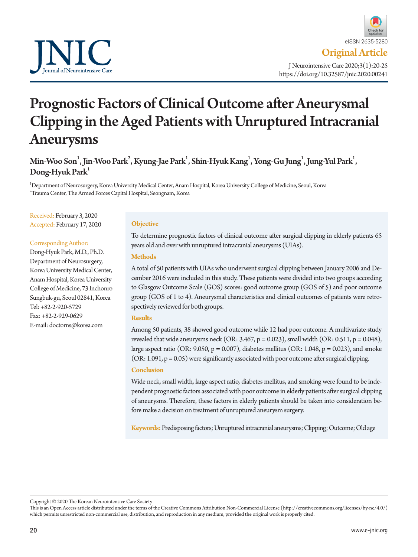

# Prognostic Factors of Clinical Outcome after Aneurysmal Clipping in the Aged Patients with Unruptured Intracranial Aneurysms

Min-Woo Son $^1$ , Jin-Woo Park $^2$ , Kyung-Jae Park $^1$ , Shin-Hyuk Kang $^1$ , Yong-Gu Jung $^1$ , Jung-Yul Park $^1$ , Dong-Hyuk Park<sup>1</sup>

1 Department of Neurosurgery, Korea University Medical Center, Anam Hospital, Korea University College of Medicine, Seoul, Korea 2 Trauma Center, The Armed Forces Capital Hospital, Seongnam, Korea

Received: February 3, 2020 Accepted: February 17, 2020

#### Corresponding Author:

Dong-Hyuk Park, M.D., Ph.D. Department of Neurosurgery, Korea University Medical Center, Anam Hospital, Korea University College of Medicine, 73 Inchonro Sungbuk-gu, Seoul 02841, Korea Tel: +82-2-920-5729 Fax: +82-2-929-0629 E-mail: doctorns@korea.com

#### **Objective**

To determine prognostic factors of clinical outcome after surgical clipping in elderly patients 65 years old and over with unruptured intracranial aneurysms (UIAs).

## **Methods**

A total of 50 patients with UIAs who underwent surgical clipping between January 2006 and December 2016 were included in this study. These patients were divided into two groups according to Glasgow Outcome Scale (GOS) scores: good outcome group (GOS of 5) and poor outcome group (GOS of 1 to 4). Aneurysmal characteristics and clinical outcomes of patients were retrospectively reviewed for both groups.

#### **Results**

Among 50 patients, 38 showed good outcome while 12 had poor outcome. A multivariate study revealed that wide aneurysms neck (OR:  $3.467$ ,  $p = 0.023$ ), small width (OR:  $0.511$ ,  $p = 0.048$ ), large aspect ratio (OR: 9.050,  $p = 0.007$ ), diabetes mellitus (OR: 1.048,  $p = 0.023$ ), and smoke  $(OR: 1.091, p = 0.05)$  were significantly associated with poor outcome after surgical clipping.

### **Conclusion**

Wide neck, small width, large aspect ratio, diabetes mellitus, and smoking were found to be independent prognostic factors associated with poor outcome in elderly patients after surgical clipping of aneurysms. Therefore, these factors in elderly patients should be taken into consideration before make a decision on treatment of unruptured aneurysm surgery.

**Keywords:** Predisposing factors; Unruptured intracranial aneurysms; Clipping; Outcome; Old age

Copyright © 2020 The Korean Neurointensive Care Society

This is an Open Access article distributed under the terms of the Creative Commons Attribution Non-Commercial License (http://creativecommons.org/licenses/by-nc/4.0/) which permits unrestricted non-commercial use, distribution, and reproduction in any medium, provided the original work is properly cited.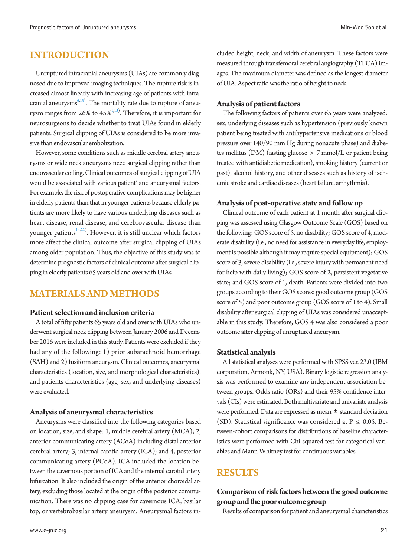# **INTRODUCTION**

Unruptured intracranial aneurysms (UIAs) are commonly diagnosed due to improved imaging techniques. The rupture risk is increased almost linearly with increasing age of patients with intra-cranial aneurysms<sup>6,[13\)](#page-5-1)</sup>. The mortality rate due to rupture of aneurysm ranges from 26% to  $45\%^{1,15)}$  $45\%^{1,15)}$  $45\%^{1,15)}$  $45\%^{1,15)}$ . Therefore, it is important for neurosurgeons to decide whether to treat UIAs found in elderly patients. Surgical clipping of UIAs is considered to be more invasive than endovascular embolization.

However, some conditions such as middle cerebral artery aneurysms or wide neck aneurysms need surgical clipping rather than endovascular coiling. Clinical outcomes of surgical clipping of UIA would be associated with various patient' and aneurysmal factors. For example, the risk of postoperative complications may be higher in elderly patients than that in younger patients because elderly patients are more likely to have various underlying diseases such as heart disease, renal disease, and cerebrovascular disease than younger patients<sup>14,[22](#page-5-5))</sup>. However, it is still unclear which factors more affect the clinical outcome after surgical clipping of UIAs among older population. Thus, the objective of this study was to determine prognostic factors of clinical outcome after surgical clipping in elderly patients 65 years old and over with UIAs.

# **MATERIALS AND METHODS**

## **Patient selection and inclusion criteria**

A total of fifty patients 65 years old and over with UIAs who underwent surgical neck clipping between January 2006 and December 2016 were included in this study. Patients were excluded if they had any of the following: 1) prior subarachnoid hemorrhage (SAH) and 2) fusiform aneurysm. Clinical outcomes, aneurysmal characteristics (location, size, and morphological characteristics), and patients characteristics (age, sex, and underlying diseases) were evaluated.

## **Analysis of aneurysmal characteristics**

Aneurysms were classified into the following categories based on location, size, and shape: 1, middle cerebral artery (MCA); 2, anterior communicating artery (ACoA) including distal anterior cerebral artery; 3, internal carotid artery (ICA); and 4, posterior communicating artery (PCoA). ICA included the location between the cavernous portion of ICA and the internal carotid artery bifurcation. It also included the origin of the anterior choroidal artery, excluding those located at the origin of the posterior communication. There was no clipping case for cavernous ICA, basilar top, or vertebrobasilar artery aneurysm. Aneurysmal factors in-

cluded height, neck, and width of aneurysm. These factors were measured through transfemoral cerebral angiography (TFCA) images. The maximum diameter was defined as the longest diameter of UIA. Aspect ratio was the ratio of height to neck.

### **Analysis of patient factors**

The following factors of patients over 65 years were analyzed: sex, underlying diseases such as hypertension (previously known patient being treated with antihypertensive medications or blood pressure over 140/90 mm Hg during nonacute phase) and diabetes mellitus (DM) (fasting glucose > 7 mmol/L or patient being treated with antidiabetic medication), smoking history (current or past), alcohol history, and other diseases such as history of ischemic stroke and cardiac diseases (heart failure, arrhythmia).

## **Analysis of post-operative state and follow up**

Clinical outcome of each patient at 1 month after surgical clipping was assessed using Glasgow Outcome Scale (GOS) based on the following: GOS score of 5, no disability; GOS score of 4, moderate disability (i.e., no need for assistance in everyday life, employment is possible although it may require special equipment); GOS score of 3, severe disability (i.e., severe injury with permanent need for help with daily living); GOS score of 2, persistent vegetative state; and GOS score of 1, death. Patients were divided into two groups according to their GOS scores: good outcome group (GOS score of 5) and poor outcome group (GOS score of 1 to 4). Small disability after surgical clipping of UIAs was considered unacceptable in this study. Therefore, GOS 4 was also considered a poor outcome after clipping of unruptured aneurysm.

#### **Statistical analysis**

All statistical analyses were performed with SPSS ver. 23.0 (IBM corporation, Armonk, NY, USA). Binary logistic regression analysis was performed to examine any independent association between groups. Odds ratio (ORs) and their 95% confidence intervals (CIs) were estimated. Both multivariate and univariate analysis were performed. Data are expressed as mean ± standard deviation (SD). Statistical significance was considered at  $P \le 0.05$ . Between-cohort comparisons for distributions of baseline characteristics were performed with Chi-squared test for categorical variables and Mann-Whitney test for continuous variables.

## **RESULTS**

# **Comparison of risk factors between the good outcome group and the poor outcome group**

Results of comparison for patient and aneurysmal characteristics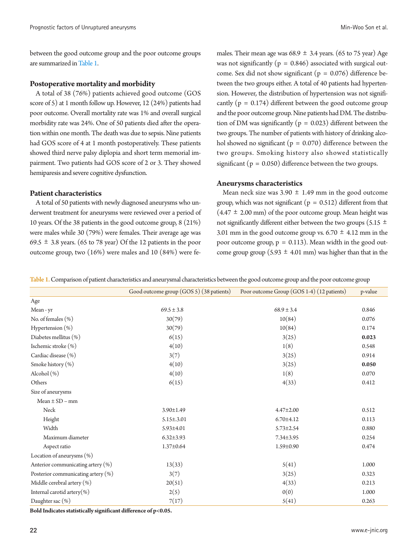between the good outcome group and the poor outcome groups are summarized in [Table 1.](#page-2-0)

## **Postoperative mortality and morbidity**

A total of 38 (76%) patients achieved good outcome (GOS score of 5) at 1 month follow up. However, 12 (24%) patients had poor outcome. Overall mortality rate was 1% and overall surgical morbidity rate was 24%. One of 50 patients died after the operation within one month. The death was due to sepsis. Nine patients had GOS score of 4 at 1 month postoperatively. These patients showed third nerve palsy diplopia and short term memorial impairment. Two patients had GOS score of 2 or 3. They showed hemiparesis and severe cognitive dysfunction.

## **Patient characteristics**

A total of 50 patients with newly diagnosed aneurysms who underwent treatment for aneurysms were reviewed over a period of 10 years. Of the 38 patients in the good outcome group, 8 (21%) were males while 30 (79%) were females. Their average age was 69.5  $\pm$  3.8 years. (65 to 78 year) Of the 12 patients in the poor outcome group, two (16%) were males and 10 (84%) were fe-

males. Their mean age was  $68.9 \pm 3.4$  years. (65 to 75 year) Age was not significantly ( $p = 0.846$ ) associated with surgical outcome. Sex did not show significant ( $p = 0.076$ ) difference between the two groups either. A total of 40 patients had hypertension. However, the distribution of hypertension was not significantly ( $p = 0.174$ ) different between the good outcome group and the poor outcome group. Nine patients had DM. The distribution of DM was significantly ( $p = 0.023$ ) different between the two groups. The number of patients with history of drinking alcohol showed no significant ( $p = 0.070$ ) difference between the two groups. Smoking history also showed statistically significant ( $p = 0.050$ ) difference between the two groups.

#### **Aneurysms characteristics**

Mean neck size was  $3.90 \pm 1.49$  mm in the good outcome group, which was not significant ( $p = 0.512$ ) different from that  $(4.47 \pm 2.00 \text{ mm})$  of the poor outcome group. Mean height was not significantly different either between the two groups (5.15  $\pm$ 3.01 mm in the good outcome group vs. 6.70  $\pm$  4.12 mm in the poor outcome group,  $p = 0.113$ ). Mean width in the good outcome group group (5.93  $\pm$  4.01 mm) was higher than that in the

<span id="page-2-0"></span>

|  | Table 1. Comparison of patient characteristics and aneurysmal characteristics between the good outcome group and the poor outcome group |  |  |
|--|-----------------------------------------------------------------------------------------------------------------------------------------|--|--|
|  |                                                                                                                                         |  |  |

|                                       | Good outcome group (GOS 5) (38 patients) | Poor outcome Group (GOS 1-4) (12 patients) | p-value |
|---------------------------------------|------------------------------------------|--------------------------------------------|---------|
| Age                                   |                                          |                                            |         |
| Mean - yr                             | $69.5 \pm 3.8$                           | $68.9 \pm 3.4$                             | 0.846   |
| No. of females (%)                    | 30(79)                                   | 10(84)                                     | 0.076   |
| Hypertension (%)                      | 30(79)                                   | 10(84)                                     | 0.174   |
| Diabetes mellitus (%)                 | 6(15)                                    | 3(25)                                      | 0.023   |
| Ischemic stroke (%)                   | 4(10)                                    | 1(8)                                       | 0.548   |
| Cardiac disease (%)                   | 3(7)                                     | 3(25)                                      | 0.914   |
| Smoke history (%)                     | 4(10)                                    | 3(25)                                      | 0.050   |
| Alcohol (%)                           | 4(10)                                    | 1(8)                                       | 0.070   |
| Others                                | 6(15)                                    | 4(33)                                      | 0.412   |
| Size of aneurysms                     |                                          |                                            |         |
| $Mean \pm SD - mm$                    |                                          |                                            |         |
| Neck                                  | 3.90±1.49                                | $4.47 \pm 2.00$                            | 0.512   |
| Height                                | $5.15 \pm .3.01$                         | $6.70 \pm 4.12$                            | 0.113   |
| Width                                 | $5.93 \pm 4.01$                          | $5.73 \pm 2.54$                            | 0.880   |
| Maximum diameter                      | $6.32 \pm 3.93$                          | 7.34±3.95                                  | 0.254   |
| Aspect ratio                          | $1.37 \pm 0.64$                          | 1.59±0.90                                  | 0.474   |
| Location of aneurysms $(\%)$          |                                          |                                            |         |
| Anterior communicating artery (%)     | 13(33)                                   | 5(41)                                      | 1.000   |
| Posterior communicating artery $(\%)$ | 3(7)                                     | 3(25)                                      | 0.323   |
| Middle cerebral artery (%)            | 20(51)                                   | 4(33)                                      | 0.213   |
| Internal carotid artery $(\%)$        | 2(5)                                     | 0(0)                                       | 1.000   |
| Daughter sac $(\%)$                   | 7(17)                                    | 5(41)                                      | 0.263   |

**Bold Indicates statistically significant difference of p<0.05.**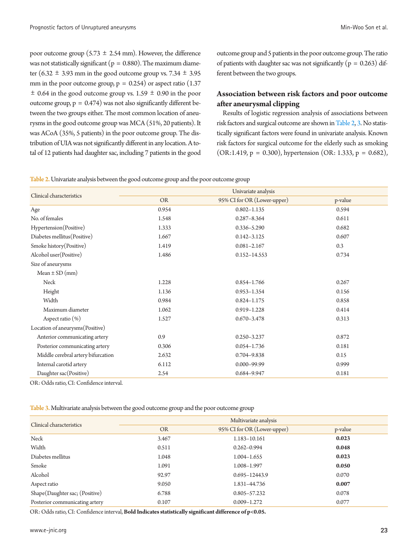poor outcome group (5.73  $\pm$  2.54 mm). However, the difference was not statistically significant ( $p = 0.880$ ). The maximum diameter (6.32  $\pm$  3.93 mm in the good outcome group vs. 7.34  $\pm$  3.95 mm in the poor outcome group,  $p = 0.254$ ) or aspect ratio (1.37)  $\pm$  0.64 in the good outcome group vs. 1.59  $\pm$  0.90 in the poor outcome group,  $p = 0.474$ ) was not also significantly different between the two groups either. The most common location of aneurysms in the good outcome group was MCA (51%, 20 patients). It was ACoA (35%, 5 patients) in the poor outcome group. The distribution of UIA was not significantly different in any location. A total of 12 patients had daughter sac, including 7 patients in the good

outcome group and 5 patients in the poor outcome group. The ratio of patients with daughter sac was not significantly ( $p = 0.263$ ) different between the two groups.

## **Association between risk factors and poor outcome after aneurysmal clipping**

Results of logistic regression analysis of associations between risk factors and surgical outcome are shown in [Table 2](#page-3-0), [3.](#page-3-1) No statistically significant factors were found in univariate analysis. Known risk factors for surgical outcome for the elderly such as smoking  $(OR:1.419, p = 0.300)$ , hypertension  $(OR:1.333, p = 0.682)$ ,

<span id="page-3-0"></span>Table 2. Univariate analysis between the good outcome group and the poor outcome group

|                                    | Univariate analysis |                             |         |  |
|------------------------------------|---------------------|-----------------------------|---------|--|
| Clinical characteristics           | <b>OR</b>           | 95% CI for OR (Lower-upper) | p-value |  |
| Age                                | 0.954               | $0.802 - 1.135$             | 0.594   |  |
| No. of females                     | 1.548               | $0.287 - 8.364$             | 0.611   |  |
| Hypertension(Positive)             | 1.333               | $0.336 - 5.290$             | 0.682   |  |
| Diabetes mellitus(Positive)        | 1.667               | $0.142 - 3.125$             | 0.607   |  |
| Smoke history (Positive)           | 1.419               | $0.081 - 2.167$             | 0.3     |  |
| Alcohol user (Positive)            | 1.486               | $0.152 - 14.553$            | 0.734   |  |
| Size of aneurysms                  |                     |                             |         |  |
| Mean $\pm$ SD (mm)                 |                     |                             |         |  |
| Neck                               | 1.228               | $0.854 - 1.766$             | 0.267   |  |
| Height                             | 1.136               | $0.953 - 1.354$             | 0.156   |  |
| Width                              | 0.984               | $0.824 - 1.175$             | 0.858   |  |
| Maximum diameter                   | 1.062               | $0.919 - 1.228$             | 0.414   |  |
| Aspect ratio $(\%)$                | 1.527               | $0.670 - 3.478$             | 0.313   |  |
| Location of aneurysms (Positive)   |                     |                             |         |  |
| Anterior communicating artery      | 0.9                 | 0.250-3.237                 | 0.872   |  |
| Posterior communicating artery     | 0.306               | $0.054 - 1.736$             | 0.181   |  |
| Middle cerebral artery bifurcation | 2.632               | 0.704-9.838                 | 0.15    |  |
| Internal carotid artery            | 6.112               | $0.000 - 99.99$             | 0.999   |  |
| Daughter sac(Positive)             | 2.54                | 0.684-9.947                 | 0.181   |  |

OR: Odds ratio, CI: Confidence interval.

<span id="page-3-1"></span>Table 3. Multivariate analysis between the good outcome group and the poor outcome group

| Clinical characteristics       | Multivariate analysis |                             |         |  |
|--------------------------------|-----------------------|-----------------------------|---------|--|
|                                | <b>OR</b>             | 95% CI for OR (Lower-upper) | p-value |  |
| Neck                           | 3.467                 | 1.183-10.161                | 0.023   |  |
| Width                          | 0.511                 | $0.262 - 0.994$             | 0.048   |  |
| Diabetes mellitus              | 1.048                 | $1.004 - 1.655$             | 0.023   |  |
| Smoke                          | 1.091                 | 1.008-1.997                 | 0.050   |  |
| Alcohol                        | 92.97                 | $0.695 - 12443.9$           | 0.070   |  |
| Aspect ratio                   | 9.050                 | 1.831-44.736                | 0.007   |  |
| Shape(Daughter sac; (Positive) | 6.788                 | $0.805 - 57.232$            | 0.078   |  |
| Posterior communicating artery | 0.107                 | $0.009 - 1.272$             | 0.077   |  |
|                                |                       |                             |         |  |

OR: Odds ratio, CI: Confidence interval, **Bold Indicates statistically significant difference of p<0.05.**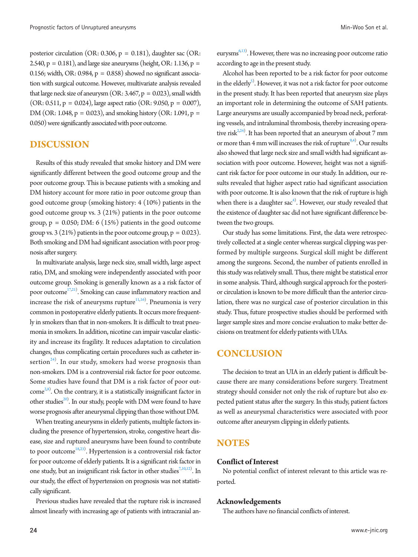posterior circulation (OR: 0.306, p = 0.181), daughter sac (OR: 2.540,  $p = 0.181$ ), and large size aneurysms (height, OR: 1.136,  $p =$ 0.156; width, OR: 0.984,  $p = 0.858$ ) showed no significant association with surgical outcome. However, multivariate analysis revealed that large neck size of aneurysm (OR:  $3.467$ ,  $p = 0.023$ ), small width  $(OR: 0.511, p = 0.024)$ , large aspect ratio  $(OR: 9.050, p = 0.007)$ , DM (OR: 1.048,  $p = 0.023$ ), and smoking history (OR: 1.091,  $p =$ 0.050) were significantly associated with poor outcome.

## **DISCUSSION**

Results of this study revealed that smoke history and DM were significantly different between the good outcome group and the poor outcome group. This is because patients with a smoking and DM history account for more ratio in poor outcome group than good outcome group (smoking history: 4 (10%) patients in the good outcome group vs. 3 (21%) patients in the poor outcome group,  $p = 0.050$ ; DM: 6 (15%) patients in the good outcome group vs. 3 (21%) patients in the poor outcome group,  $p = 0.023$ ). Both smoking and DM had significant association with poor prognosis after surgery.

In multivariate analysis, large neck size, small width, large aspect ratio, DM, and smoking were independently associated with poor outcome group. Smoking is generally known as a a risk factor of poor outcome<sup>[17](#page-5-6)[,21\)](#page-5-7)</sup>. Smoking can cause inflammatory reaction and increase the risk of aneurysms rupture $\overline{^{11,16}}$ . Pneumonia is very common in postoperative elderly patients. It occurs more frequently in smokers than that in non-smokers. It is difficult to treat pneumonia in smokers. In addition, nicotine can impair vascular elasticity and increase its fragility. It reduces adaptation to circulation changes, thus complicating certain procedures such as catheter insertion $^{24)}$  $^{24)}$  $^{24)}$ . In our study, smokers had worse prognosis than non-smokers. DM is a controversial risk factor for poor outcome. Some studies have found that DM is a risk factor of poor out-come<sup>2[,8\)](#page-5-11)</sup>. On the contrary, it is a statistically insignificant factor in other studies<sup>20</sup>. In our study, people with DM were found to have worse prognosis after aneurysmal clipping than those without DM.

When treating aneurysms in elderly patients, multiple factors including the presence of hypertension, stroke, congestive heart disease, size and ruptured aneurysms have been found to contribute to poor outcome<sup>18[,23\)](#page-5-14)</sup>. Hypertension is a controversial risk factor for poor outcome of elderly patients. It is a significant risk factor in one study, but an insignificant risk factor in other studies<sup>7,[10](#page-5-16)[,12](#page-5-17)</sup>). In our study, the effect of hypertension on prognosis was not statistically significant.

Previous studies have revealed that the rupture risk is increased almost linearly with increasing age of patients with intracranial aneurysms<sup>6,13)</sup>. However, there was no increasing poor outcome ratio according to age in the present study.

Alcohol has been reported to be a risk factor for poor outcome in the elderly $^{5}$ . However, it was not a risk factor for poor outcome in the present study. It has been reported that aneurysm size plays an important role in determining the outcome of SAH patients. Large aneurysms are usually accompanied by broad neck, perforating vessels, and intraluminal thrombosis, thereby increasing operative risk<sup> $2,24$  $2,24$ </sup>. It has been reported that an aneurysm of about 7 mm or more than 4 mm will increases the risk of rupture $94$  $94$ <sup>4</sup>. Our results also showed that large neck size and small width had significant association with poor outcome. However, height was not a significant risk factor for poor outcome in our study. In addition, our results revealed that higher aspect ratio had significant association with poor outcome. It is also known that the risk of rupture is high when there is a daughter  $sac^{4}$ . However, our study revealed that the existence of daughter sac did not have significant difference between the two groups.

Our study has some limitations. First, the data were retrospectively collected at a single center whereas surgical clipping was performed by multiple surgeons. Surgical skill might be different among the surgeons. Second, the number of patients enrolled in this study was relatively small. Thus, there might be statistical error in some analysis. Third, although surgical approach for the posterior circulation is known to be more difficult than the anterior circulation, there was no surgical case of posterior circulation in this study. Thus, future prospective studies should be performed with larger sample sizes and more concise evaluation to make better decisions on treatment for elderly patients with UIAs.

# **CONCLUSION**

The decision to treat an UIA in an elderly patient is difficult because there are many considerations before surgery. Treatment strategy should consider not only the risk of rupture but also expected patient status after the surgery. In this study, patient factors as well as aneurysmal characteristics were associated with poor outcome after aneurysm clipping in elderly patients.

# **NOTES**

## **Conflict of Interest**

No potential conflict of interest relevant to this article was reported.

## **Acknowledgements**

<span id="page-4-0"></span>The authors have no financial conflicts of interest.